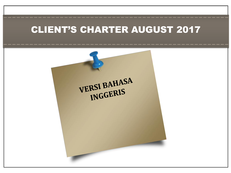## CLIENT'S CHARTER AUGUST 2017

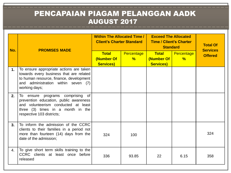## PENCAPAIAN PIAGAM PELANGGAN AADK AUGUST 2017

| No. | <b>PROMISES MADE</b>                                                                                                                                                                   | <b>Within The Allocated Time /  </b><br><b>Client's Charter Standard</b> |                             | <b>Exceed The Allocated</b><br><b>Time / Client's Charter</b><br><b>Standard</b> |                                    | <b>Total Of</b><br><b>Services</b> |
|-----|----------------------------------------------------------------------------------------------------------------------------------------------------------------------------------------|--------------------------------------------------------------------------|-----------------------------|----------------------------------------------------------------------------------|------------------------------------|------------------------------------|
|     |                                                                                                                                                                                        | <b>Total</b><br>(Number Of<br><b>Services)</b>                           | Percentage<br>$\frac{9}{6}$ | <b>Total</b><br>(Number Of<br><b>Services)</b>                                   | <b>Percentage</b><br>$\frac{9}{6}$ | <b>Offered</b>                     |
| 1.  | To ensure appropriate actions are taken<br>towards every business that are related<br>to human resource, finance, development<br>and administration within seven (7)<br>working days;  |                                                                          |                             |                                                                                  |                                    |                                    |
| 2.  | To ensure programs comprising<br>of<br>prevention education, public awareness<br>and volunteerism conducted at least<br>three (3) times in a month in the<br>respective 103 districts; |                                                                          |                             |                                                                                  |                                    |                                    |
| 3.  | To inform the admission of the CCRC<br>clients to their families in a period not<br>more than fourteen (14) days from the<br>date of the admission;                                    | 324                                                                      | 100                         |                                                                                  |                                    | 324                                |
| 4.  | To give short term skills training to the<br>CCRC clients at least once before<br>released                                                                                             | 336                                                                      | 93.85                       | 22                                                                               | 6.15                               | 358                                |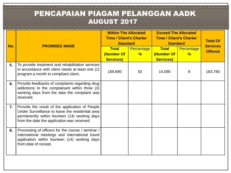## PENCAPAIAN PIAGAM PELANGGAN AADK AUGUST 2017

| No.            | <b>PROMISES MADE</b>                                                                                                                                                                               | <b>Within The Allocated</b><br><b>Time / Client's Charter</b><br><b>Standard</b> |                 | <b>Exceed The Allocated</b><br><b>Time / Client's Charter</b><br><b>Standard</b> |                             | <b>Total Of</b><br><b>Services</b> |
|----------------|----------------------------------------------------------------------------------------------------------------------------------------------------------------------------------------------------|----------------------------------------------------------------------------------|-----------------|----------------------------------------------------------------------------------|-----------------------------|------------------------------------|
|                |                                                                                                                                                                                                    | <b>Total</b><br>(Number Of<br><b>Services)</b>                                   | Percentage<br>% | <b>Total</b><br>(Number Of<br><b>Services)</b>                                   | Percentage<br>$\frac{9}{6}$ | <b>Offered</b>                     |
| 5.             | To provide treatment and rehabilitation services<br>in accordance with client needs at least one (1)<br>program a month to compliant client.                                                       | 169,690                                                                          | 92              | 14,090                                                                           | 8                           | 183,780                            |
| 6.             | Provide feedbacks of complaints regarding drug<br>addictions to the complainant within three (3)<br>working days from the date the complaint was<br>received;                                      |                                                                                  |                 |                                                                                  |                             |                                    |
| $\mathbf{7}$ . | Provide the result of the application of People<br>Under Surveillance to leave the residential area<br>permanently within fourteen (14) working days<br>from the date the application was received |                                                                                  |                 |                                                                                  |                             |                                    |
| 8.             | Processing of officers for the course / seminar /<br>international meetings and international travel<br>application within fourteen (14) working days<br>from date of receipt.                     |                                                                                  |                 |                                                                                  |                             |                                    |